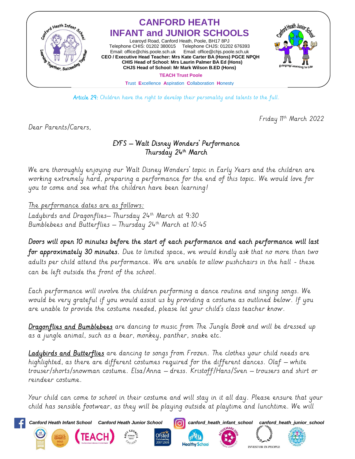

Article 29: Children have the right to develop their personality and talents to the full.

Friday 11th March 2022

Dear Parents/Carers,

## EYFS – 'Walt Disney Wonders' Performance Thursday 24th March

We are thoroughly enjoying our 'Walt Disney Wonders' topic in Early Years and the children are working extremely hard, preparing a performance for the end of this topic. We would love for you to come and see what the children have been learning!

The performance dates are as follows:

Ladybirds and Dragonflies-Thursday 24th March at 9:30 Bumblebees and Butterflies – Thursday 24th March at 10:45

Doors will open 10 minutes before the start of each performance and each performance will last for approximately 30 minutes. Due to limited space, we would kindly ask that no more than two adults per child attend the performance. We are unable to allow pushchairs in the hall - these can be left outside the front of the school.

Each performance will involve the children performing a dance routine and singing songs. We would be very grateful if you would assist us by providing a costume as outlined below. If you are unable to provide the costume needed, please let your child's class teacher know.

Dragonflies and Bumblebees are dancing to music from The Jungle Book and will be dressed up as a jungle animal, such as a bear, monkey, panther, snake etc.

Ladybirds and Butterflies are dancing to songs from Frozen. The clothes your child needs are highlighted, as there are different costumes required for the different dances. Olaf – white trouser/shorts/snowman costume. Elsa/Anna – dress. Kristoff/Hans/Sven – trousers and shirt or reindeer costume.

Your child can come to school in their costume and will stay in it all day. Please ensure that your child has sensible footwear, as they will be playing outside at playtime and lunchtime. We will